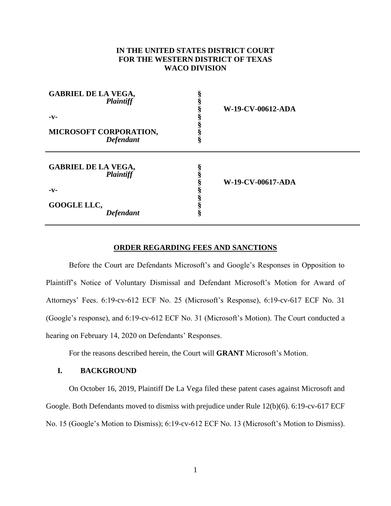# **IN THE UNITED STATES DISTRICT COURT FOR THE WESTERN DISTRICT OF TEXAS WACO DIVISION**

| <b>GABRIEL DE LA VEGA,</b><br>Plaintiff<br>-v-<br>MICROSOFT CORPORATION,<br><b>Defendant</b> | 8 | W-19-CV-00612-ADA |
|----------------------------------------------------------------------------------------------|---|-------------------|
| <b>GABRIEL DE LA VEGA,</b><br><b>Plaintiff</b><br>-v-<br>GOOGLE LLC,<br><b>Defendant</b>     |   | W-19-CV-00617-ADA |

### **ORDER REGARDING FEES AND SANCTIONS**

Before the Court are Defendants Microsoft's and Google's Responses in Opposition to Plaintiff's Notice of Voluntary Dismissal and Defendant Microsoft's Motion for Award of Attorneys' Fees. 6:19-cv-612 ECF No. 25 (Microsoft's Response), 6:19-cv-617 ECF No. 31 (Google's response), and 6:19-cv-612 ECF No. 31 (Microsoft's Motion). The Court conducted a hearing on February 14, 2020 on Defendants' Responses.

For the reasons described herein, the Court will **GRANT** Microsoft's Motion.

## **I. BACKGROUND**

On October 16, 2019, Plaintiff De La Vega filed these patent cases against Microsoft and Google. Both Defendants moved to dismiss with prejudice under Rule 12(b)(6). 6:19-cv-617 ECF No. 15 (Google's Motion to Dismiss); 6:19-cv-612 ECF No. 13 (Microsoft's Motion to Dismiss).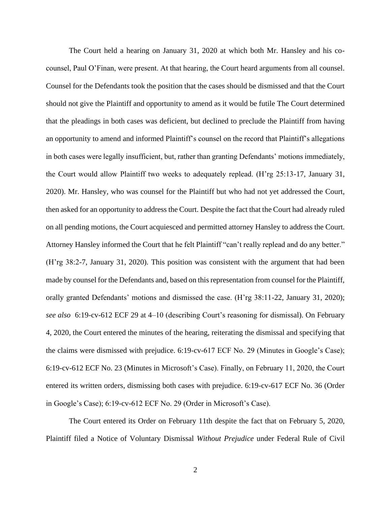The Court held a hearing on January 31, 2020 at which both Mr. Hansley and his cocounsel, Paul O'Finan, were present. At that hearing, the Court heard arguments from all counsel. Counsel for the Defendants took the position that the cases should be dismissed and that the Court should not give the Plaintiff and opportunity to amend as it would be futile The Court determined that the pleadings in both cases was deficient, but declined to preclude the Plaintiff from having an opportunity to amend and informed Plaintiff's counsel on the record that Plaintiff's allegations in both cases were legally insufficient, but, rather than granting Defendants' motions immediately, the Court would allow Plaintiff two weeks to adequately replead. (H'rg 25:13-17, January 31, 2020). Mr. Hansley, who was counsel for the Plaintiff but who had not yet addressed the Court, then asked for an opportunity to address the Court. Despite the fact that the Court had already ruled on all pending motions, the Court acquiesced and permitted attorney Hansley to address the Court. Attorney Hansley informed the Court that he felt Plaintiff "can't really replead and do any better." (H'rg 38:2-7, January 31, 2020). This position was consistent with the argument that had been made by counsel for the Defendants and, based on this representation from counsel for the Plaintiff, orally granted Defendants' motions and dismissed the case. (H'rg 38:11-22, January 31, 2020); *see also* 6:19-cv-612 ECF 29 at 4–10 (describing Court's reasoning for dismissal). On February 4, 2020, the Court entered the minutes of the hearing, reiterating the dismissal and specifying that the claims were dismissed with prejudice. 6:19-cv-617 ECF No. 29 (Minutes in Google's Case); 6:19-cv-612 ECF No. 23 (Minutes in Microsoft's Case). Finally, on February 11, 2020, the Court entered its written orders, dismissing both cases with prejudice. 6:19-cv-617 ECF No. 36 (Order in Google's Case); 6:19-cv-612 ECF No. 29 (Order in Microsoft's Case).

The Court entered its Order on February 11th despite the fact that on February 5, 2020, Plaintiff filed a Notice of Voluntary Dismissal *Without Prejudice* under Federal Rule of Civil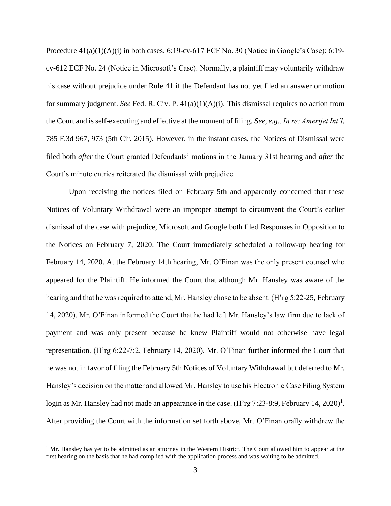Procedure  $41(a)(1)(A)(i)$  in both cases. 6:19-cv-617 ECF No. 30 (Notice in Google's Case); 6:19cv-612 ECF No. 24 (Notice in Microsoft's Case). Normally, a plaintiff may voluntarily withdraw his case without prejudice under Rule 41 if the Defendant has not yet filed an answer or motion for summary judgment. *See* Fed. R. Civ. P.  $41(a)(1)(A)(i)$ . This dismissal requires no action from the Court and is self-executing and effective at the moment of filing. *See, e.g., In re: Amerijet Int'l*, 785 F.3d 967, 973 (5th Cir. 2015). However, in the instant cases, the Notices of Dismissal were filed both *after* the Court granted Defendants' motions in the January 31st hearing and *after* the Court's minute entries reiterated the dismissal with prejudice.

Upon receiving the notices filed on February 5th and apparently concerned that these Notices of Voluntary Withdrawal were an improper attempt to circumvent the Court's earlier dismissal of the case with prejudice, Microsoft and Google both filed Responses in Opposition to the Notices on February 7, 2020. The Court immediately scheduled a follow-up hearing for February 14, 2020. At the February 14th hearing, Mr. O'Finan was the only present counsel who appeared for the Plaintiff. He informed the Court that although Mr. Hansley was aware of the hearing and that he was required to attend, Mr. Hansley chose to be absent. (H'rg 5:22-25, February 14, 2020). Mr. O'Finan informed the Court that he had left Mr. Hansley's law firm due to lack of payment and was only present because he knew Plaintiff would not otherwise have legal representation. (H'rg 6:22-7:2, February 14, 2020). Mr. O'Finan further informed the Court that he was not in favor of filing the February 5th Notices of Voluntary Withdrawal but deferred to Mr. Hansley's decision on the matter and allowed Mr. Hansley to use his Electronic Case Filing System login as Mr. Hansley had not made an appearance in the case. (H'rg 7:23-8:9, February 14, 2020)<sup>1</sup>. After providing the Court with the information set forth above, Mr. O'Finan orally withdrew the

 $<sup>1</sup>$  Mr. Hansley has yet to be admitted as an attorney in the Western District. The Court allowed him to appear at the</sup> first hearing on the basis that he had complied with the application process and was waiting to be admitted.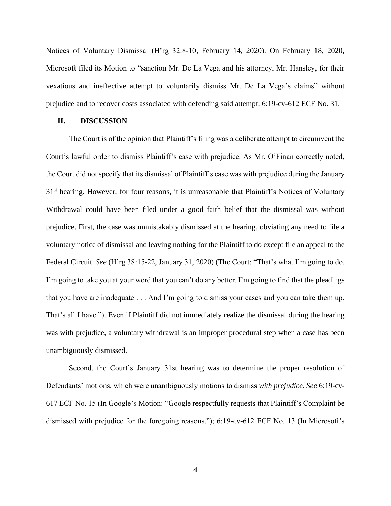Notices of Voluntary Dismissal (H'rg 32:8-10, February 14, 2020). On February 18, 2020, Microsoft filed its Motion to "sanction Mr. De La Vega and his attorney, Mr. Hansley, for their vexatious and ineffective attempt to voluntarily dismiss Mr. De La Vega's claims" without prejudice and to recover costs associated with defending said attempt. 6:19-cv-612 ECF No. 31.

#### **II. DISCUSSION**

The Court is of the opinion that Plaintiff's filing was a deliberate attempt to circumvent the Court's lawful order to dismiss Plaintiff's case with prejudice. As Mr. O'Finan correctly noted, the Court did not specify that its dismissal of Plaintiff's case was with prejudice during the January 31<sup>st</sup> hearing. However, for four reasons, it is unreasonable that Plaintiff's Notices of Voluntary Withdrawal could have been filed under a good faith belief that the dismissal was without prejudice. First, the case was unmistakably dismissed at the hearing, obviating any need to file a voluntary notice of dismissal and leaving nothing for the Plaintiff to do except file an appeal to the Federal Circuit. *See* (H'rg 38:15-22, January 31, 2020) (The Court: "That's what I'm going to do. I'm going to take you at your word that you can't do any better. I'm going to find that the pleadings that you have are inadequate . . . And I'm going to dismiss your cases and you can take them up. That's all I have."). Even if Plaintiff did not immediately realize the dismissal during the hearing was with prejudice, a voluntary withdrawal is an improper procedural step when a case has been unambiguously dismissed.

Second, the Court's January 31st hearing was to determine the proper resolution of Defendants' motions, which were unambiguously motions to dismiss *with prejudice*. *See* 6:19-cv-617 ECF No. 15 (In Google's Motion: "Google respectfully requests that Plaintiff's Complaint be dismissed with prejudice for the foregoing reasons."); 6:19-cv-612 ECF No. 13 (In Microsoft's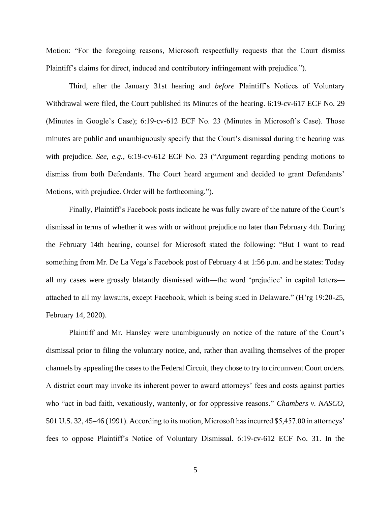Motion: "For the foregoing reasons, Microsoft respectfully requests that the Court dismiss Plaintiff's claims for direct, induced and contributory infringement with prejudice.").

Third, after the January 31st hearing and *before* Plaintiff's Notices of Voluntary Withdrawal were filed, the Court published its Minutes of the hearing. 6:19-cv-617 ECF No. 29 (Minutes in Google's Case); 6:19-cv-612 ECF No. 23 (Minutes in Microsoft's Case). Those minutes are public and unambiguously specify that the Court's dismissal during the hearing was with prejudice. *See, e.g.,* 6:19-cv-612 ECF No. 23 ("Argument regarding pending motions to dismiss from both Defendants. The Court heard argument and decided to grant Defendants' Motions, with prejudice. Order will be forthcoming.").

Finally, Plaintiff's Facebook posts indicate he was fully aware of the nature of the Court's dismissal in terms of whether it was with or without prejudice no later than February 4th. During the February 14th hearing, counsel for Microsoft stated the following: "But I want to read something from Mr. De La Vega's Facebook post of February 4 at 1:56 p.m. and he states: Today all my cases were grossly blatantly dismissed with—the word 'prejudice' in capital letters attached to all my lawsuits, except Facebook, which is being sued in Delaware." (H'rg 19:20-25, February 14, 2020).

Plaintiff and Mr. Hansley were unambiguously on notice of the nature of the Court's dismissal prior to filing the voluntary notice, and, rather than availing themselves of the proper channels by appealing the cases to the Federal Circuit, they chose to try to circumvent Court orders. A district court may invoke its inherent power to award attorneys' fees and costs against parties who "act in bad faith, vexatiously, wantonly, or for oppressive reasons." *Chambers v. NASCO*, 501 U.S. 32, 45–46 (1991). According to its motion, Microsoft has incurred \$5,457.00 in attorneys' fees to oppose Plaintiff's Notice of Voluntary Dismissal. 6:19-cv-612 ECF No. 31. In the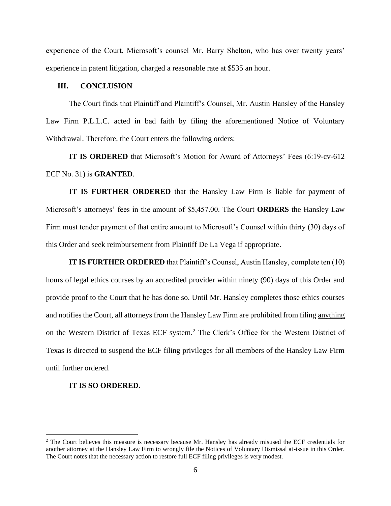experience of the Court, Microsoft's counsel Mr. Barry Shelton, who has over twenty years' experience in patent litigation, charged a reasonable rate at \$535 an hour.

#### **III. CONCLUSION**

The Court finds that Plaintiff and Plaintiff's Counsel, Mr. Austin Hansley of the Hansley Law Firm P.L.L.C. acted in bad faith by filing the aforementioned Notice of Voluntary Withdrawal. Therefore, the Court enters the following orders:

**IT IS ORDERED** that Microsoft's Motion for Award of Attorneys' Fees (6:19-cv-612 ECF No. 31) is **GRANTED**.

**IT IS FURTHER ORDERED** that the Hansley Law Firm is liable for payment of Microsoft's attorneys' fees in the amount of \$5,457.00. The Court **ORDERS** the Hansley Law Firm must tender payment of that entire amount to Microsoft's Counsel within thirty (30) days of this Order and seek reimbursement from Plaintiff De La Vega if appropriate.

**IT IS FURTHER ORDERED** that Plaintiff's Counsel, Austin Hansley, complete ten (10) hours of legal ethics courses by an accredited provider within ninety (90) days of this Order and provide proof to the Court that he has done so. Until Mr. Hansley completes those ethics courses and notifies the Court, all attorneys from the Hansley Law Firm are prohibited from filing anything on the Western District of Texas ECF system.<sup>2</sup> The Clerk's Office for the Western District of Texas is directed to suspend the ECF filing privileges for all members of the Hansley Law Firm until further ordered.

## **IT IS SO ORDERED.**

<sup>2</sup> The Court believes this measure is necessary because Mr. Hansley has already misused the ECF credentials for another attorney at the Hansley Law Firm to wrongly file the Notices of Voluntary Dismissal at-issue in this Order. The Court notes that the necessary action to restore full ECF filing privileges is very modest.